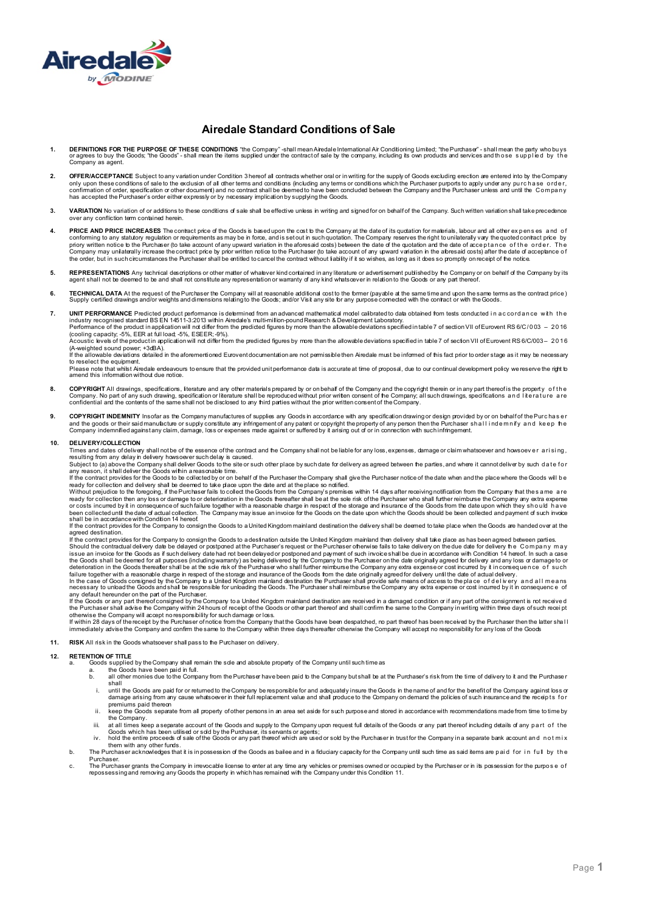

## **Airedale Standard Conditions of Sale**

- 1. DEFINITIONS FOR THE PURPOSE OF THESE CONDITIONS "the Company" -shall mean Airedale International Air Conditioning Limited; "the Purchaser" shall mean the party who buys<br>or agrees to buy the Goods; "the Goods" shall Company as agent.
- 2. **OFFER/ACCEPTANCE** Subject to any variation under Condition 3 hereof all contracts whether oral or in writing for the supply of Goods excluding erection are entered into by the Company only upon these conditions of sale to the exclusion of all other terms and conditions (including any terms or conditions which the Purchaser purports to apply under any pu rc h a se o rd e r, confirmation of order, specification or other document) and no contract shall be deemed to have been concluded between the Company and the Purchaser unless and until the Company has accepted the Purchaser's order either expressly or by necessary implication by supplying the Goods.
- 3. VARIATION No variation of or additions to these conditions of sale shall be effective unless in writing and signed for on behalf of the Company. Such written variation shall take precedence confliction term contained herein
- 4. PRICE AND PRICE INCREASES The contract price of the Goods is based upon the cost to the Company at the date of its quotation for materials, labour and all other ex penses and of conforming to any statutory regulation or requirements as may be in force, and is set out in such quotation. The Company reserves the right to unilaterally vary the quoted contract price by<br>priory written notice b the Purc
- 5. REPRESENTATIONS Any technical descriptions or other matter of whatever kind contained in any literature or advertisement published by the Company or on behalf of the Company by its<br>agent shall not be deemed to be and sh
- 6. TECHNICAL DATA At the request of the Purchaser the Company will at reasonable addifonal cost to the former (payable at the same time and upon the same terms as the contract price )<br>Supply certified drawings and/or weigh
- **7. UNIT PERFORMANCE** Predicted product performance is determined from an advanced mathematical model calibrated to data obtained from tests conducted i n accordance with the<br>industry recognised standard BSEN 14511-3:2013
	- Performance of the product inapplication will not difer from the predicted figures by more than the allowable deviations specified in table 7 of section VII of Eurovent RS 6/C/003 2016<br>(cooling capacity, -5%, EER at fu Acoustic levels of the product in application will not differ from the predicted figures by more than the allowable deviations specified in table 7 of section VII of Eurovent RS 6/C/003 – 2 0 1 6

(A-weighted sound power; +3dBA).

If the allowable deviations detailed in the aforementioned Eurovent documentation are not permissible then Airedale must be informed of this fact prior to order stage as it may be necessary to reselect the equipment. Please note that whist Airedale endeavours toensure that the provided unit performance data is accurate at time of proposal, due to our continual development policy wereserve the right to<br>amend this information without due

- 8. COPYRIGHT All drawings, specifications, literature and any other materials prepared by or on behalf of the Company and the copyright therein or in any part thereof is the property of the<br>Company. No part of any such dra confidential and the contents of the same shall not be disclosed to any third parties without the prior written consent of the Company.
- 9. COPYRIGHT INDEMNITY Insofaras the Company manufactures of supplies any Goods in accordance with any specification drawing or design provided by or on behalf of the Purchase r<br>The property of any poetic way represent the Company indemnified against any claim, damage, loss or expenses made against or suffered by it arising out of or in connection with such infringement.

#### **10. DELIVERY/COLLECTION**

Times and dates of delivery shall not be of the essence of the contract and the Company shall not be liable for any loss, expenses, damage or claim whatsoever and howsoev e r a ri si ng ,

resulting from any delay in delivery howsoever such delay is caused.<br>Subject to (a) above the Company shall deliver Goods to the site or such other place by such date for delivery as agreed between the parties, and where i

ready for collection and delivery shall be deemed to take place upon the date and at the place so notified.

Without prejudice to the foregoing, if the Purchaser fails to collect the Goods from the Company's premises within 14 days after receiving notification from the Company that the same are<br>ready for collection then any loss or costs incurred by it in consequence of such failure together with a reasonable charge in respect of the storage and insurance of the Goods from the date upon which they should have<br>been collected until the date of actu

If the contract provides for the Company to consign the Goods to a United Kingdom mainland destination the delivery shall be deemed to take place when the Goods are handed over at the agreed destination.<br>If the contract provides for the Company to consign the Goods to a destination outside the United Kingdom mainland then delivery shall take place as has been agreed between parties.

Should the contractual delivery date be delayed or postponed at the Purchaser's request or the Purchaser ofnerwise fails to take delvery on the due date for delivery fi e Company may<br>issue an invoice for the Goods as if su the Goods shall be deemed for all purposes (including warranty) as being delivered by the Company to the Purchaser on the date originally agreed for delivery and any loss or damage to or<br>deterioration in the Goods cnsigned

any default hereunder on the part of the Purchaser.

If the Goods or any part thereof consigned by the Company to a United Kingdom mainland destination are received in a damaged condition or if any part of the consignment is not received the Purchaser shall advise the Company within 24 hours of receipt of the Goods or other part thereof and shall confirm the same to the Company in writing within three days of such recei pt otherwise the Company will accept no responsibility for such damage or loss.

If within 28 days of the recept by the Purchaser ofnotice from the Company that the Goods have been despatched, no part thereof has been received by the Purchaser then the latter shal l<br>immediately advise the Company and

#### **11. RISK** All risk in the Goods whatsoever shall pass to the Purchaser on delivery.

#### **12. RETENTION OF TITLE**

- a. Goods supplied by the Company shall remain the sole and absolute property of the Company until such time as a. the Goods have been paid in full.
	-
	- b. all other monies due to the Company from the Purchaser have been paid to the Company but shall be at the Purchaser's risk from the time of delivery to it and the Purchaser shall<br>i. until the Goods are paid for or returned to the Company be responsible for and adequately insure the Goods in the name of and for the benefit of the Company against loss or
		- damage arising from any cause whatsoever in their full replacement value and shall produce to the Company on demand the policies of such insurance and the receipts for<br>premiums paid thereon
		- ii. keep the Goods separate from all property of other persons in an area set aside for such purpose and stored in accordance with recommendations made from time to time by the Company.
	-
	- iii. at all times keep a separate account of the Goods and supply to the Company upon request full details of the Goods or any part thereof including details of any part of the<br>Goods which has been utilised or sdd by the P
- b. The Purchaser acknowledges that it is in possession of the Goods as bailee and in a fiduciary capacity for the Company until such time as said items are paid for in full by the<br>Purchaser
- Purchaser.<br>c. The Purchaser grants the Company in irrevocable license to enter at any time any vehicles or premises owned or occupied by the Purchaser or in its possession for the purpose of<br>repossessing and removing any G